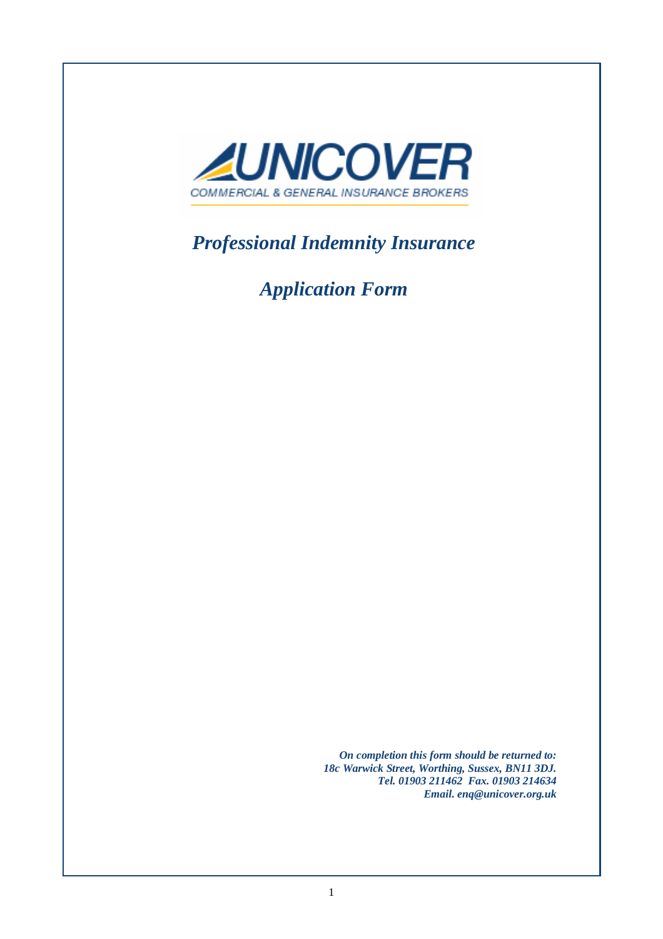

*Professional Indemnity Insurance* 

*Application Form* 

*Please completion this form should be returned to:*  $\overline{O}$  *On completion this form should be returned to:* on completion this joint should be retained to:<br>*18c Warwick Street, Worthing, Sussex, BN11 3DJ.* Partner of the Firm MUST sign and date this Proposal Form. *Tel. 01903 211462 Fax. 01903 214634 Email. enq@unicover.org.uk*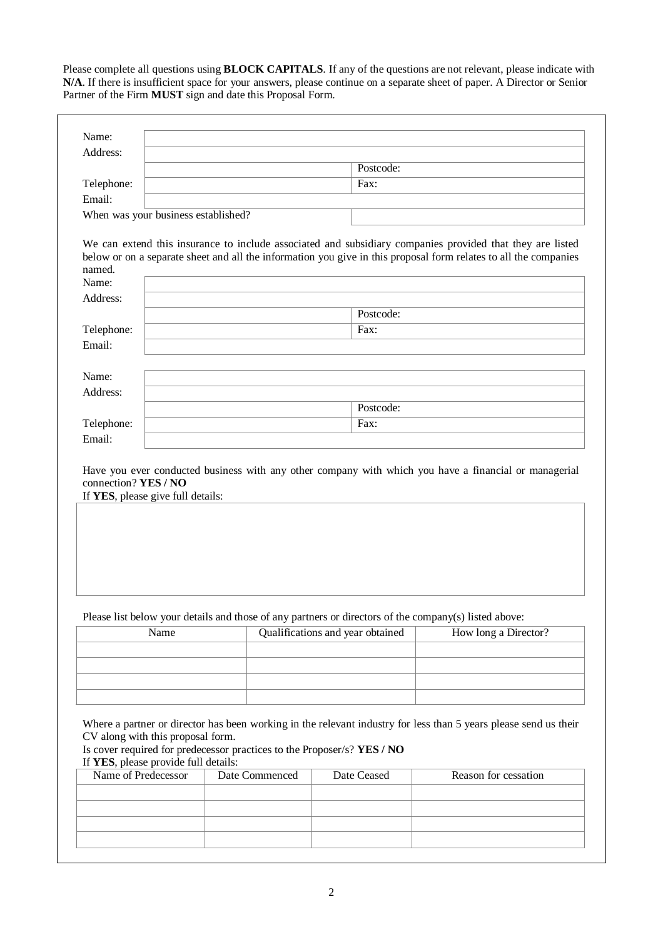Please complete all questions using **BLOCK CAPITALS**. If any of the questions are not relevant, please indicate with **N/A**. If there is insufficient space for your answers, please continue on a separate sheet of paper. A Director or Senior Partner of the Firm **MUST** sign and date this Proposal Form.

| Address:                                                                  |                                                                                                       |                                  |                                                                                                                                                                                                                           |
|---------------------------------------------------------------------------|-------------------------------------------------------------------------------------------------------|----------------------------------|---------------------------------------------------------------------------------------------------------------------------------------------------------------------------------------------------------------------------|
|                                                                           |                                                                                                       | Postcode:                        |                                                                                                                                                                                                                           |
| Telephone:                                                                |                                                                                                       | Fax:                             |                                                                                                                                                                                                                           |
| Email:                                                                    |                                                                                                       |                                  |                                                                                                                                                                                                                           |
| When was your business established?                                       |                                                                                                       |                                  |                                                                                                                                                                                                                           |
|                                                                           |                                                                                                       |                                  |                                                                                                                                                                                                                           |
|                                                                           |                                                                                                       |                                  | We can extend this insurance to include associated and subsidiary companies provided that they are listed                                                                                                                 |
| named.                                                                    |                                                                                                       |                                  | below or on a separate sheet and all the information you give in this proposal form relates to all the companies                                                                                                          |
| Name:                                                                     |                                                                                                       |                                  |                                                                                                                                                                                                                           |
| Address:                                                                  |                                                                                                       |                                  |                                                                                                                                                                                                                           |
|                                                                           |                                                                                                       | Postcode:                        |                                                                                                                                                                                                                           |
| Telephone:                                                                |                                                                                                       | Fax:                             |                                                                                                                                                                                                                           |
| Email:                                                                    |                                                                                                       |                                  |                                                                                                                                                                                                                           |
|                                                                           |                                                                                                       |                                  |                                                                                                                                                                                                                           |
| Name:                                                                     |                                                                                                       |                                  |                                                                                                                                                                                                                           |
| Address:                                                                  |                                                                                                       |                                  |                                                                                                                                                                                                                           |
|                                                                           |                                                                                                       | Postcode:                        |                                                                                                                                                                                                                           |
|                                                                           |                                                                                                       | Fax:                             |                                                                                                                                                                                                                           |
| Telephone:                                                                |                                                                                                       |                                  |                                                                                                                                                                                                                           |
| Email:                                                                    |                                                                                                       |                                  |                                                                                                                                                                                                                           |
|                                                                           |                                                                                                       |                                  |                                                                                                                                                                                                                           |
|                                                                           |                                                                                                       |                                  |                                                                                                                                                                                                                           |
| connection? YES / NO<br>If YES, please give full details:                 | Please list below your details and those of any partners or directors of the company(s) listed above: |                                  |                                                                                                                                                                                                                           |
| Name                                                                      |                                                                                                       | Qualifications and year obtained | How long a Director?                                                                                                                                                                                                      |
|                                                                           |                                                                                                       |                                  |                                                                                                                                                                                                                           |
|                                                                           |                                                                                                       |                                  |                                                                                                                                                                                                                           |
|                                                                           |                                                                                                       |                                  |                                                                                                                                                                                                                           |
|                                                                           |                                                                                                       |                                  |                                                                                                                                                                                                                           |
|                                                                           | Is cover required for predecessor practices to the Proposer/s? YES / NO                               |                                  |                                                                                                                                                                                                                           |
| Name of Predecessor                                                       | Date Commenced                                                                                        | Date Ceased                      | Reason for cessation                                                                                                                                                                                                      |
|                                                                           |                                                                                                       |                                  |                                                                                                                                                                                                                           |
| CV along with this proposal form.<br>If YES, please provide full details: |                                                                                                       |                                  |                                                                                                                                                                                                                           |
|                                                                           |                                                                                                       |                                  |                                                                                                                                                                                                                           |
|                                                                           |                                                                                                       |                                  | Have you ever conducted business with any other company with which you have a financial or managerial<br>Where a partner or director has been working in the relevant industry for less than 5 years please send us their |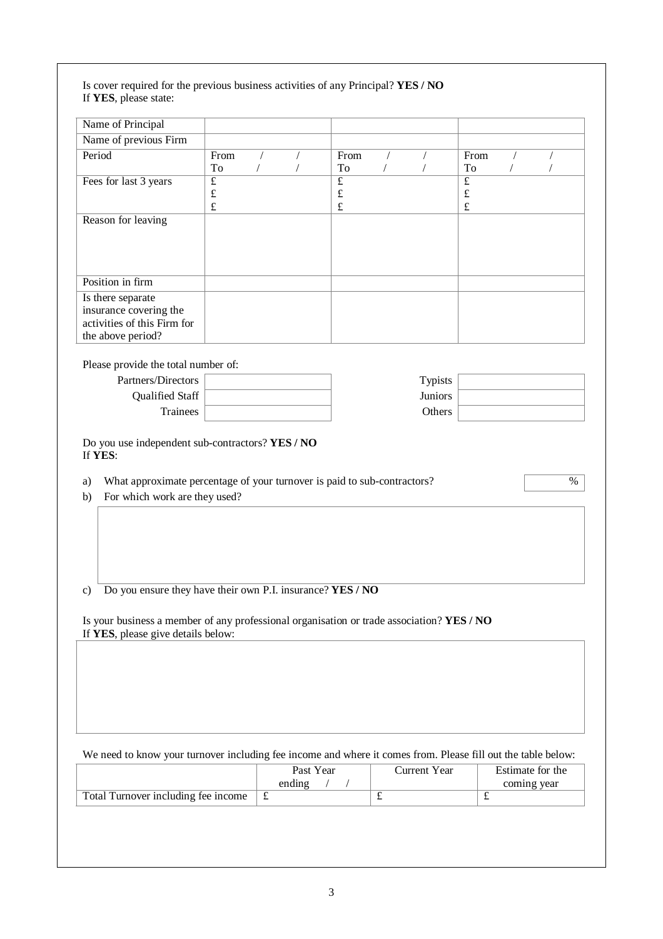| Name of Principal                                                                                                                                                                    |                                                   |            |                                          |            |                |                                          |            |            |
|--------------------------------------------------------------------------------------------------------------------------------------------------------------------------------------|---------------------------------------------------|------------|------------------------------------------|------------|----------------|------------------------------------------|------------|------------|
| Name of previous Firm                                                                                                                                                                |                                                   |            |                                          |            |                |                                          |            |            |
| Period                                                                                                                                                                               | From<br>To                                        | $\sqrt{2}$ | From<br>To                               | $\sqrt{2}$ | $\sqrt{2}$     | From<br>To                               | $\sqrt{2}$ | $\sqrt{2}$ |
| Fees for last 3 years                                                                                                                                                                | $\overline{\mathbf{f}}$<br>$\pounds$<br>$\pounds$ |            | $\overline{f}$<br>$\pounds$<br>$\pounds$ |            |                | $\overline{f}$<br>$\pounds$<br>$\pounds$ |            |            |
| Reason for leaving                                                                                                                                                                   |                                                   |            |                                          |            |                |                                          |            |            |
| Position in firm                                                                                                                                                                     |                                                   |            |                                          |            |                |                                          |            |            |
| Is there separate<br>insurance covering the<br>activities of this Firm for<br>the above period?                                                                                      |                                                   |            |                                          |            |                |                                          |            |            |
| Please provide the total number of:                                                                                                                                                  |                                                   |            |                                          |            |                |                                          |            |            |
| Partners/Directors                                                                                                                                                                   |                                                   |            |                                          |            | Typists        |                                          |            |            |
| Qualified Staff                                                                                                                                                                      |                                                   |            |                                          |            | <b>Juniors</b> |                                          |            |            |
| Trainees                                                                                                                                                                             |                                                   |            |                                          |            | Others         |                                          |            |            |
| Do you use independent sub-contractors? YES / NO<br>If YES:<br>What approximate percentage of your turnover is paid to sub-contractors?<br>a)<br>For which work are they used?<br>b) |                                                   |            |                                          |            |                |                                          |            | $\%$       |
| Do you ensure they have their own P.I. insurance? YES / NO                                                                                                                           |                                                   |            |                                          |            |                |                                          |            |            |
|                                                                                                                                                                                      |                                                   |            |                                          |            |                |                                          |            |            |
|                                                                                                                                                                                      |                                                   |            |                                          |            |                |                                          |            |            |
| $\mathbf{c}$<br>Is your business a member of any professional organisation or trade association? YES / NO<br>If YES, please give details below:                                      |                                                   |            |                                          |            |                |                                          |            |            |

We need to know your turnover including fee income and where it comes from. Please fill out the table below:

|                                     | Past Year<br>ending | Current Year | Estimate for the<br>coming year |
|-------------------------------------|---------------------|--------------|---------------------------------|
| Total Turnover including fee income |                     |              |                                 |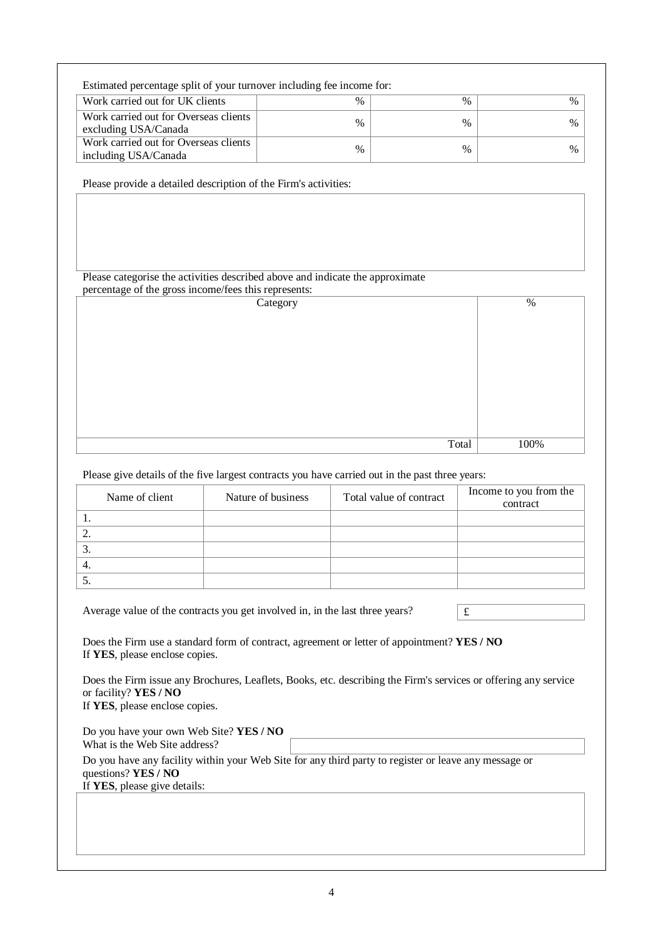| Estimated percentage split of your turnover including fee income for: |      |      |               |
|-----------------------------------------------------------------------|------|------|---------------|
| Work carried out for UK clients                                       | $\%$ | $\%$ | $\frac{0}{0}$ |
| Work carried out for Overseas clients<br>excluding USA/Canada         | $\%$ | $\%$ | $\%$          |
| Work carried out for Overseas clients<br>including USA/Canada         | $\%$ | $\%$ | $\%$          |

Please provide a detailed description of the Firm's activities:

## Please categorise the activities described above and indicate the approximate

| percentage of the gross income/fees this represents: |      |
|------------------------------------------------------|------|
| Category                                             | %    |
|                                                      |      |
|                                                      |      |
|                                                      |      |
|                                                      |      |
|                                                      |      |
|                                                      |      |
|                                                      |      |
|                                                      |      |
|                                                      |      |
|                                                      |      |
|                                                      |      |
|                                                      |      |
| Total                                                | 100% |

Please give details of the five largest contracts you have carried out in the past three years:

|    | Name of client | Nature of business | Total value of contract | Income to you from the<br>contract |
|----|----------------|--------------------|-------------------------|------------------------------------|
|    |                |                    |                         |                                    |
|    |                |                    |                         |                                    |
| C. |                |                    |                         |                                    |
| 4. |                |                    |                         |                                    |
|    |                |                    |                         |                                    |

Average value of the contracts you get involved in, in the last three years?

Does the Firm use a standard form of contract, agreement or letter of appointment? **YES / NO**  If **YES**, please enclose copies.

Does the Firm issue any Brochures, Leaflets, Books, etc. describing the Firm's services or offering any service or facility? **YES / NO** 

If **YES**, please enclose copies.

| Do you have your own Web Site? YES / NO |                                                                                                       |
|-----------------------------------------|-------------------------------------------------------------------------------------------------------|
| What is the Web Site address?           |                                                                                                       |
|                                         | Do you have any facility within your Web Site for any third party to register or leave any message or |
| questions? $YES / NO$                   |                                                                                                       |
| If YES, please give details:            |                                                                                                       |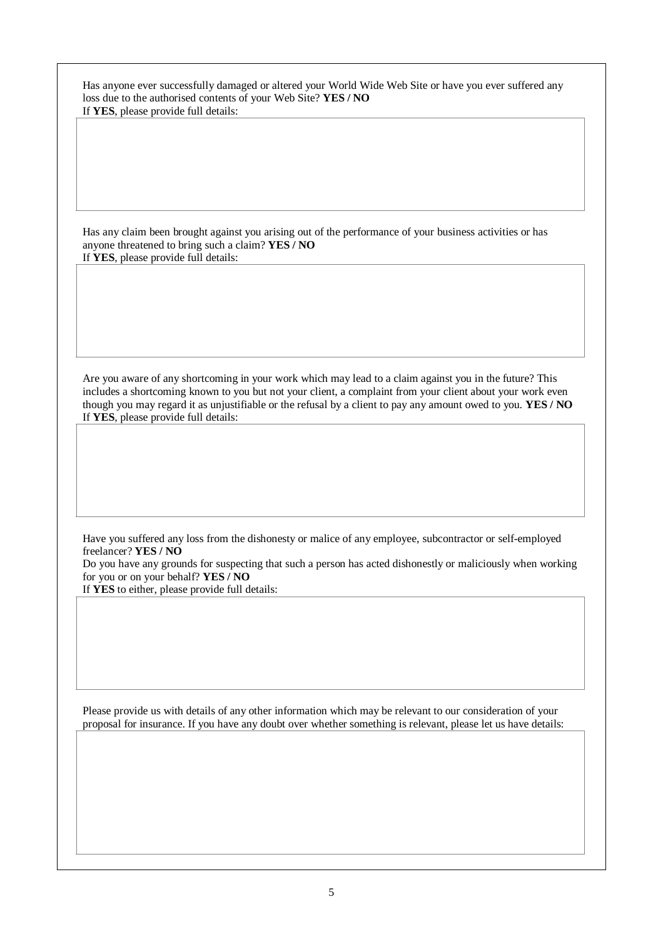| Has anyone ever successfully damaged or altered your World Wide Web Site or have you ever suffered any |
|--------------------------------------------------------------------------------------------------------|
| loss due to the authorised contents of your Web Site? YES/NO                                           |
| If YES, please provide full details:                                                                   |

Has any claim been brought against you arising out of the performance of your business activities or has anyone threatened to bring such a claim? **YES / NO**  If **YES**, please provide full details:

Are you aware of any shortcoming in your work which may lead to a claim against you in the future? This includes a shortcoming known to you but not your client, a complaint from your client about your work even though you may regard it as unjustifiable or the refusal by a client to pay any amount owed to you. **YES / NO**  If **YES**, please provide full details:

Have you suffered any loss from the dishonesty or malice of any employee, subcontractor or self-employed freelancer? **YES / NO** 

Do you have any grounds for suspecting that such a person has acted dishonestly or maliciously when working for you or on your behalf? **YES / NO** 

If **YES** to either, please provide full details:

Please provide us with details of any other information which may be relevant to our consideration of your proposal for insurance. If you have any doubt over whether something is relevant, please let us have details: